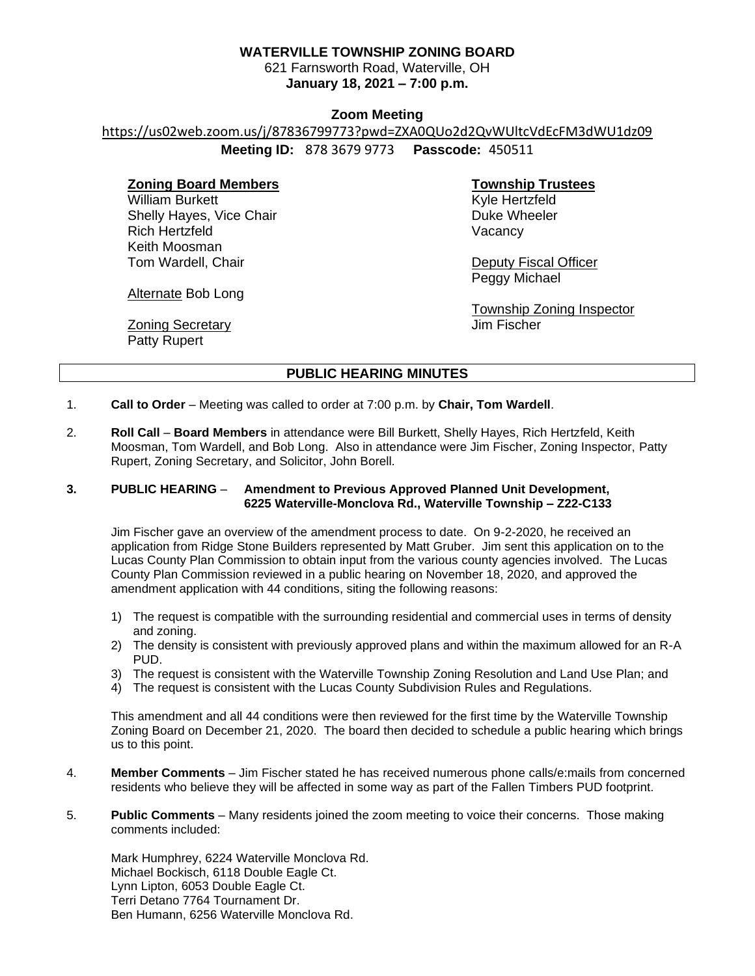## **WATERVILLE TOWNSHIP ZONING BOARD**

621 Farnsworth Road, Waterville, OH **January 18, 2021 – 7:00 p.m.**

### **Zoom Meeting**

https://us02web.zoom.us/j/87836799773?pwd=ZXA0QUo2d2QvWUltcVdEcFM3dWU1dz09

**Meeting ID:** 878 3679 9773 **Passcode:** 450511

## **Zoning Board Members**

William Burkett Shelly Hayes, Vice Chair Rich Hertzfeld Keith Moosman Tom Wardell, Chair

# **Township Trustees**

Kyle Hertzfeld Duke Wheeler Vacancy

Deputy Fiscal Officer Peggy Michael

Township Zoning Inspector Jim Fischer

Alternate Bob Long

**Zoning Secretary** Patty Rupert

# **PUBLIC HEARING MINUTES**

- 1. **Call to Order** Meeting was called to order at 7:00 p.m. by **Chair, Tom Wardell**.
- 2. **Roll Call Board Members** in attendance were Bill Burkett, Shelly Hayes, Rich Hertzfeld, Keith Moosman, Tom Wardell, and Bob Long. Also in attendance were Jim Fischer, Zoning Inspector, Patty Rupert, Zoning Secretary, and Solicitor, John Borell.

#### **3. PUBLIC HEARING** – **Amendment to Previous Approved Planned Unit Development, 6225 Waterville-Monclova Rd., Waterville Township – Z22-C133**

Jim Fischer gave an overview of the amendment process to date. On 9-2-2020, he received an application from Ridge Stone Builders represented by Matt Gruber. Jim sent this application on to the Lucas County Plan Commission to obtain input from the various county agencies involved. The Lucas County Plan Commission reviewed in a public hearing on November 18, 2020, and approved the amendment application with 44 conditions, siting the following reasons:

- 1) The request is compatible with the surrounding residential and commercial uses in terms of density and zoning.
- 2) The density is consistent with previously approved plans and within the maximum allowed for an R-A PUD.
- 3) The request is consistent with the Waterville Township Zoning Resolution and Land Use Plan; and
- 4) The request is consistent with the Lucas County Subdivision Rules and Regulations.

This amendment and all 44 conditions were then reviewed for the first time by the Waterville Township Zoning Board on December 21, 2020. The board then decided to schedule a public hearing which brings us to this point.

- 4. **Member Comments** Jim Fischer stated he has received numerous phone calls/e:mails from concerned residents who believe they will be affected in some way as part of the Fallen Timbers PUD footprint.
- 5. **Public Comments** Many residents joined the zoom meeting to voice their concerns. Those making comments included:

Mark Humphrey, 6224 Waterville Monclova Rd. Michael Bockisch, 6118 Double Eagle Ct. Lynn Lipton, 6053 Double Eagle Ct. Terri Detano 7764 Tournament Dr. Ben Humann, 6256 Waterville Monclova Rd.